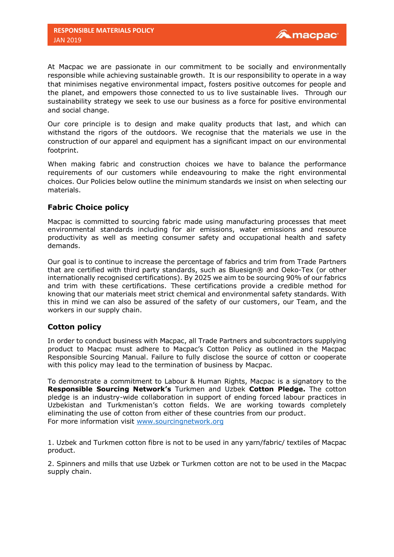At Macpac we are passionate in our commitment to be socially and environmentally responsible while achieving sustainable growth. It is our responsibility to operate in a way that minimises negative environmental impact, fosters positive outcomes for people and the planet, and empowers those connected to us to live sustainable lives. Through our sustainability strategy we seek to use our business as a force for positive environmental and social change.

Our core principle is to design and make quality products that last, and which can withstand the rigors of the outdoors. We recognise that the materials we use in the construction of our apparel and equipment has a significant impact on our environmental footprint.

When making fabric and construction choices we have to balance the performance requirements of our customers while endeavouring to make the right environmental choices. Our Policies below outline the minimum standards we insist on when selecting our materials.

# **Fabric Choice policy**

Macpac is committed to sourcing fabric made using manufacturing processes that meet environmental standards including for air emissions, water emissions and resource productivity as well as meeting consumer safety and occupational health and safety demands.

Our goal is to continue to increase the percentage of fabrics and trim from Trade Partners that are certified with third party standards, such as Bluesign® and Oeko-Tex (or other internationally recognised certifications). By 2025 we aim to be sourcing 90% of our fabrics and trim with these certifications. These certifications provide a credible method for knowing that our materials meet strict chemical and environmental safety standards. With this in mind we can also be assured of the safety of our customers, our Team, and the workers in our supply chain.

## **Cotton policy**

In order to conduct business with Macpac, all Trade Partners and subcontractors supplying product to Macpac must adhere to Macpac's Cotton Policy as outlined in the Macpac Responsible Sourcing Manual. Failure to fully disclose the source of cotton or cooperate with this policy may lead to the termination of business by Macpac.

To demonstrate a commitment to Labour & Human Rights, Macpac is a signatory to the **Responsible Sourcing Network's** Turkmen and Uzbek **Cotton Pledge.** The cotton pledge is an industry-wide collaboration in support of ending forced labour practices in Uzbekistan and Turkmenistan's cotton fields. We are working towards completely eliminating the use of cotton from either of these countries from our product. For more information visit [www.sourcingnetwork.org](http://www.sourcingnetwork.org/)

1. Uzbek and Turkmen cotton fibre is not to be used in any yarn/fabric/ textiles of Macpac product.

2. Spinners and mills that use Uzbek or Turkmen cotton are not to be used in the Macpac supply chain.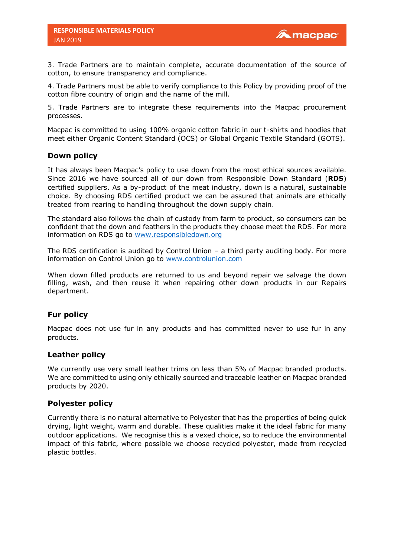3. Trade Partners are to maintain complete, accurate documentation of the source of cotton, to ensure transparency and compliance.

4. Trade Partners must be able to verify compliance to this Policy by providing proof of the cotton fibre country of origin and the name of the mill.

5. Trade Partners are to integrate these requirements into the Macpac procurement processes.

Macpac is committed to using 100% organic cotton fabric in our t-shirts and hoodies that meet either Organic Content Standard (OCS) or Global Organic Textile Standard (GOTS).

### **Down policy**

It has always been Macpac's policy to use down from the most ethical sources available. Since 2016 we have sourced all of our down from Responsible Down Standard (**RDS**) certified suppliers. As a by-product of the meat industry, down is a natural, sustainable choice. By choosing RDS certified product we can be assured that animals are ethically treated from rearing to handling throughout the down supply chain.

The standard also follows the chain of custody from farm to product, so consumers can be confident that the down and feathers in the products they choose meet the RDS. For more information on RDS go to [www.responsibledown.org](http://www.responsibledown.org/)

The RDS certification is audited by Control Union – a third party auditing body. For more information on Control Union go to [www.controlunion.com](http://www.controlunion.com/)

When down filled products are returned to us and beyond repair we salvage the down filling, wash, and then reuse it when repairing other down products in our Repairs department.

## **Fur policy**

Macpac does not use fur in any products and has committed never to use fur in any products.

#### **Leather policy**

We currently use very small leather trims on less than 5% of Macpac branded products. We are committed to using only ethically sourced and traceable leather on Macpac branded products by 2020.

### **Polyester policy**

Currently there is no natural alternative to Polyester that has the properties of being quick drying, light weight, warm and durable. These qualities make it the ideal fabric for many outdoor applications. We recognise this is a vexed choice, so to reduce the environmental impact of this fabric, where possible we choose recycled polyester, made from recycled plastic bottles.